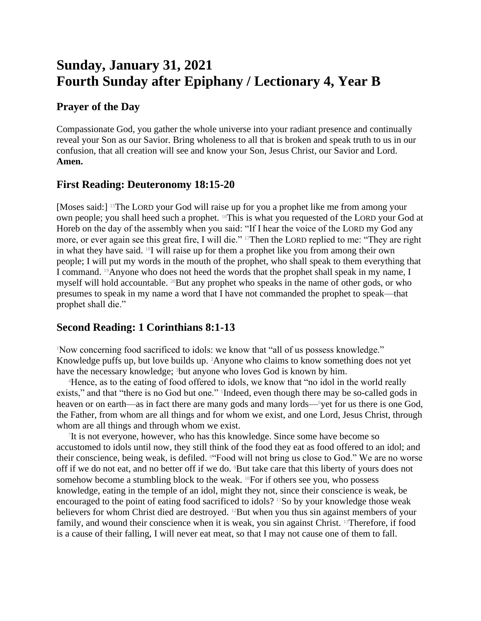# **Sunday, January 31, 2021 Fourth Sunday after Epiphany / Lectionary 4, Year B**

## **Prayer of the Day**

Compassionate God, you gather the whole universe into your radiant presence and continually reveal your Son as our Savior. Bring wholeness to all that is broken and speak truth to us in our confusion, that all creation will see and know your Son, Jesus Christ, our Savior and Lord. **Amen.**

# **First Reading: Deuteronomy 18:15-20**

[Moses said:] <sup>15</sup>The LORD your God will raise up for you a prophet like me from among your own people; you shall heed such a prophet. 16This is what you requested of the LORD your God at Horeb on the day of the assembly when you said: "If I hear the voice of the LORD my God any more, or ever again see this great fire, I will die." 17Then the LORD replied to me: "They are right in what they have said. 18I will raise up for them a prophet like you from among their own people; I will put my words in the mouth of the prophet, who shall speak to them everything that I command. 19Anyone who does not heed the words that the prophet shall speak in my name, I myself will hold accountable. 20But any prophet who speaks in the name of other gods, or who presumes to speak in my name a word that I have not commanded the prophet to speak—that prophet shall die."

## **Second Reading: 1 Corinthians 8:1-13**

<sup>1</sup>Now concerning food sacrificed to idols: we know that "all of us possess knowledge." Knowledge puffs up, but love builds up. 2Anyone who claims to know something does not yet have the necessary knowledge; <sup>3</sup>but anyone who loves God is known by him.

<sup>4</sup>Hence, as to the eating of food offered to idols, we know that "no idol in the world really exists," and that "there is no God but one." Indeed, even though there may be so-called gods in heaven or on earth—as in fact there are many gods and many lords—6yet for us there is one God, the Father, from whom are all things and for whom we exist, and one Lord, Jesus Christ, through whom are all things and through whom we exist.

7 It is not everyone, however, who has this knowledge. Since some have become so accustomed to idols until now, they still think of the food they eat as food offered to an idol; and their conscience, being weak, is defiled. 8"Food will not bring us close to God." We are no worse off if we do not eat, and no better off if we do. 9But take care that this liberty of yours does not somehow become a stumbling block to the weak. <sup>10</sup>For if others see you, who possess knowledge, eating in the temple of an idol, might they not, since their conscience is weak, be encouraged to the point of eating food sacrificed to idols?  $\frac{11}{50}$  by your knowledge those weak believers for whom Christ died are destroyed. <sup>12</sup>But when you thus sin against members of your family, and wound their conscience when it is weak, you sin against Christ. <sup>13</sup>Therefore, if food is a cause of their falling, I will never eat meat, so that I may not cause one of them to fall.